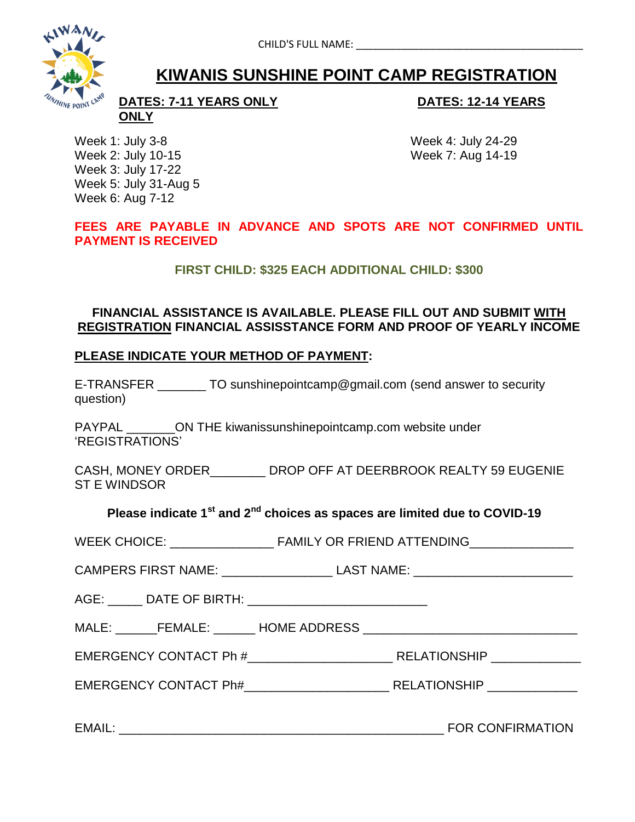

# **KIWANIS SUNSHINE POINT CAMP REGISTRATION**

**DATES: 7-11 YEARS ONLY DATES: 12-14 YEARS ONLY**

Week 1: July 3-8 Week 4: July 24-29 Week 2: July 10-15 Week 7: Aug 14-19 Week 3: July 17-22 Week 5: July 31-Aug 5 Week 6: Aug 7-12

**FEES ARE PAYABLE IN ADVANCE AND SPOTS ARE NOT CONFIRMED UNTIL PAYMENT IS RECEIVED**

**FIRST CHILD: \$325 EACH ADDITIONAL CHILD: \$300**

### **FINANCIAL ASSISTANCE IS AVAILABLE. PLEASE FILL OUT AND SUBMIT WITH REGISTRATION FINANCIAL ASSISSTANCE FORM AND PROOF OF YEARLY INCOME**

#### **PLEASE INDICATE YOUR METHOD OF PAYMENT:**

E-TRANSFER TO sunshinepointcamp@gmail.com (send answer to security question)

PAYPAL \_\_\_\_\_\_\_\_ON THE kiwanissunshinepointcamp.com website under 'REGISTRATIONS'

CASH, MONEY ORDER\_\_\_\_\_\_\_\_ DROP OFF AT DEERBROOK REALTY 59 EUGENIE ST E WINDSOR

## **Please indicate 1st and 2nd choices as spaces are limited due to COVID-19**

| <b>WEEK CHOICE:</b> | <b>FAMILY OR FRIEND ATTENDING</b> |  |
|---------------------|-----------------------------------|--|
|                     |                                   |  |

CAMPERS FIRST NAME: LAST NAME: LAST NAME:

AGE: \_\_\_\_\_ DATE OF BIRTH: \_\_\_\_\_\_\_\_\_\_\_\_\_\_\_\_\_\_\_\_\_\_\_\_\_\_

MALE: \_\_\_\_\_\_FEMALE: \_\_\_\_\_\_ HOME ADDRESS \_\_\_\_\_\_\_\_\_\_\_\_\_\_\_\_\_\_\_\_\_\_\_\_\_\_\_\_\_\_\_

EMERGENCY CONTACT Ph #\_\_\_\_\_\_\_\_\_\_\_\_\_\_\_\_\_\_\_\_\_ RELATIONSHIP \_\_\_\_\_\_\_\_\_\_\_\_\_

EMERGENCY CONTACT Ph# \_\_\_\_\_\_\_\_\_\_\_\_\_\_\_\_\_\_\_\_\_\_\_\_\_\_\_ RELATIONSHIP \_\_\_\_\_\_\_\_\_\_\_\_\_\_\_\_\_

EMAIL: \_\_\_\_\_\_\_\_\_\_\_\_\_\_\_\_\_\_\_\_\_\_\_\_\_\_\_\_\_\_\_\_\_\_\_\_\_\_\_\_\_\_\_\_\_\_\_ FOR CONFIRMATION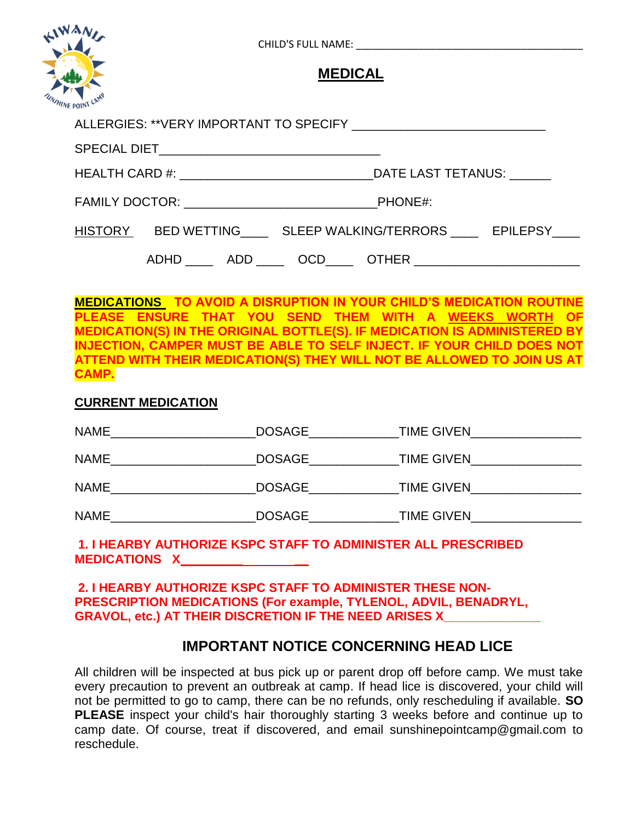| NAN |  |  |                |                        |                                                                |
|-----|--|--|----------------|------------------------|----------------------------------------------------------------|
|     |  |  | <b>MEDICAL</b> |                        |                                                                |
|     |  |  |                |                        |                                                                |
|     |  |  |                |                        |                                                                |
|     |  |  |                | FAMILY DOCTOR: PHONE#: |                                                                |
|     |  |  |                |                        | HISTORY BED WETTING SLEEP WALKING/TERRORS EPILEPSY             |
|     |  |  |                |                        | ADHD _____ ADD _____ OCD_____ OTHER __________________________ |

**MEDICATIONS TO AVOID A DISRUPTION IN YOUR CHILD'S MEDICATION ROUTINE PLEASE ENSURE THAT YOU SEND THEM WITH A WEEKS WORTH OF MEDICATION(S) IN THE ORIGINAL BOTTLE(S). IF MEDICATION IS ADMINISTERED BY INJECTION, CAMPER MUST BE ABLE TO SELF INJECT. IF YOUR CHILD DOES NOT ATTEND WITH THEIR MEDICATION(S) THEY WILL NOT BE ALLOWED TO JOIN US AT CAMP.**

#### **CURRENT MEDICATION**

| <b>NAME</b> | <b>DOSAGE</b> | <b>TIME GIVEN</b> |
|-------------|---------------|-------------------|
| <b>NAME</b> | <b>DOSAGE</b> | <b>TIME GIVEN</b> |
| <b>NAME</b> | <b>DOSAGE</b> | <b>TIME GIVEN</b> |
| <b>NAME</b> | <b>DOSAGE</b> | <b>TIME GIVEN</b> |

#### **1. I HEARBY AUTHORIZE KSPC STAFF TO ADMINISTER ALL PRESCRIBED MEDICATIONS X\_\_\_\_\_\_\_\_\_ \_\_**

**2. I HEARBY AUTHORIZE KSPC STAFF TO ADMINISTER THESE NON-PRESCRIPTION MEDICATIONS (For example, TYLENOL, ADVIL, BENADRYL, GRAVOL, etc.) AT THEIR DISCRETION IF THE NEED ARISES X\_\_\_\_\_\_\_\_\_\_\_\_\_\_**

# **IMPORTANT NOTICE CONCERNING HEAD LICE**

All children will be inspected at bus pick up or parent drop off before camp. We must take every precaution to prevent an outbreak at camp. If head lice is discovered, your child will not be permitted to go to camp, there can be no refunds, only rescheduling if available. **SO PLEASE** inspect your child's hair thoroughly starting 3 weeks before and continue up to camp date. Of course, treat if discovered, and email sunshinepointcamp@gmail.com to reschedule.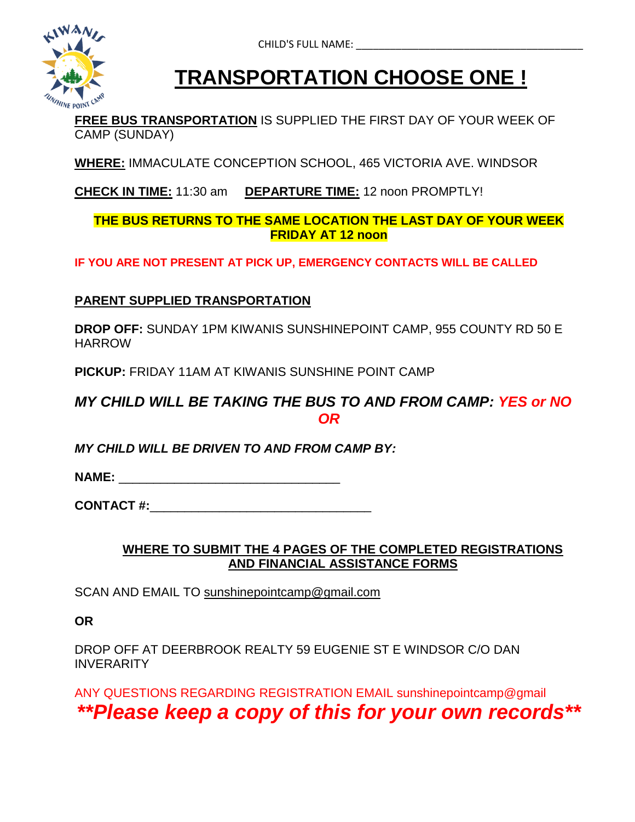

# **TRANSPORTATION CHOOSE ONE !**

**FREE BUS TRANSPORTATION** IS SUPPLIED THE FIRST DAY OF YOUR WEEK OF CAMP (SUNDAY)

**WHERE:** IMMACULATE CONCEPTION SCHOOL, 465 VICTORIA AVE. WINDSOR

**CHECK IN TIME:** 11:30 am **DEPARTURE TIME:** 12 noon PROMPTLY!

## **THE BUS RETURNS TO THE SAME LOCATION THE LAST DAY OF YOUR WEEK FRIDAY AT 12 noon**

**IF YOU ARE NOT PRESENT AT PICK UP, EMERGENCY CONTACTS WILL BE CALLED**

# **PARENT SUPPLIED TRANSPORTATION**

**DROP OFF:** SUNDAY 1PM KIWANIS SUNSHINEPOINT CAMP, 955 COUNTY RD 50 E HARROW

**PICKUP:** FRIDAY 11AM AT KIWANIS SUNSHINE POINT CAMP

# *MY CHILD WILL BE TAKING THE BUS TO AND FROM CAMP: YES or NO OR*

*MY CHILD WILL BE DRIVEN TO AND FROM CAMP BY:* 

**NAME:**  $\blacksquare$ 

**CONTACT #:**\_\_\_\_\_\_\_\_\_\_\_\_\_\_\_\_\_\_\_\_\_\_\_\_\_\_\_\_\_\_\_\_

## **WHERE TO SUBMIT THE 4 PAGES OF THE COMPLETED REGISTRATIONS AND FINANCIAL ASSISTANCE FORMS**

SCAN AND EMAIL TO sunshinepointcamp@gmail.com

**OR** 

DROP OFF AT DEERBROOK REALTY 59 EUGENIE ST E WINDSOR C/O DAN **INVERARITY** 

ANY QUESTIONS REGARDING REGISTRATION EMAIL sunshinepointcamp@gmail

# *\*\*Please keep a copy of this for your own records\*\**